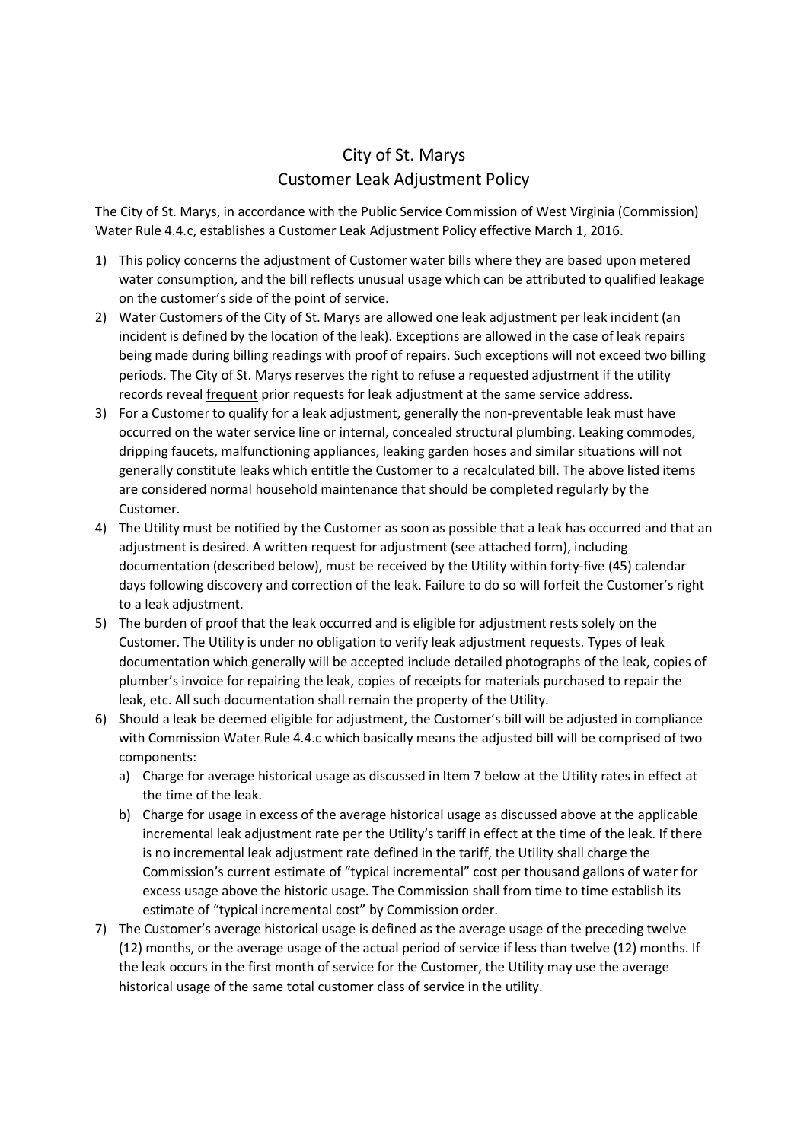## City of St. Marys Customer Leak Adjustment Policy

The City of St. Marys, in accordance with the Public Service Commission of West Virginia (Commission) Water Rule 4.4.c, establishes a Customer Leak Adjustment Policy effective March 1, 2016.

- 1) This policy concerns the adjustment of Customer water bills where they are based upon metered water consumption, and the bill reflects unusual usage which can be attributed to qualified leakage on the customer's side of the point of service.
- 2) Water Customers of the City of St. Marys are allowed one leak adjustment per leak incident (an incident is defined by the location of the leak). Exceptions are allowed in the case of leak repairs being made during billing readings with proof of repairs. Such exceptions will not exceed two billing periods. The City of St. Marys reserves the right to refuse a requested adjustment if the utility records reveal frequent prior requests for leak adjustment at the same service address.
- 3) For a Customer to qualify for a leak adjustment, generally the non-preventable leak must have occurred on the water service line or internal, concealed structural plumbing. Leaking commodes, dripping faucets, malfunctioning appliances, leaking garden hoses and similar situations will not generally constitute leaks which entitle the Customer to a recalculated bill. The above listed items are considered normal household maintenance that should be completed regularly by the Customer.
- 4) The Utility must be notified by the Customer as soon as possible that a leak has occurred and that an adjustment is desired. A written request for adjustment (see attached form), including documentation (described below), must be received by the Utility within forty-five (45) calendar days following discovery and correction of the leak. Failure to do so will forfeit the Customer's right to a leak adjustment.
- 5) The burden of proof that the leak occurred and is eligible for adjustment rests solely on the Customer. The Utility is under no obligation to verify leak adjustment requests. Types of leak documentation which generally will be accepted include detailed photographs of the leak, copies of plumber's invoice for repairing the leak, copies of receipts for materials purchased to repair the leak, etc. All such documentation shall remain the property of the Utility.
- 6) Should a leak be deemed eligible for adjustment, the Customer's bill will be adjusted in compliance with Commission Water Rule 4.4.c which basically means the adjusted bill will be comprised of two components:
	- a) Charge for average historical usage as discussed in Item 7 below at the Utility rates in effect at the time of the leak.
	- b) Charge for usage in excess of the average historical usage as discussed above at the applicable incremental leak adjustment rate per the Utility's tariff in effect at the time of the leak. If there is no incremental leak adjustment rate defined in the tariff, the Utility shall charge the Commission's current estimate of "typical incremental" cost per thousand gallons of water for excess usage above the historic usage. The Commission shall from time to time establish its estimate of "typical incremental cost" by Commission order.
- 7) The Customer's average historical usage is defined as the average usage of the preceding twelve (12) months, or the average usage of the actual period of service if less than twelve (12) months. If the leak occurs in the first month of service for the Customer, the Utility may use the average historical usage of the same total customer class of service in the utility.